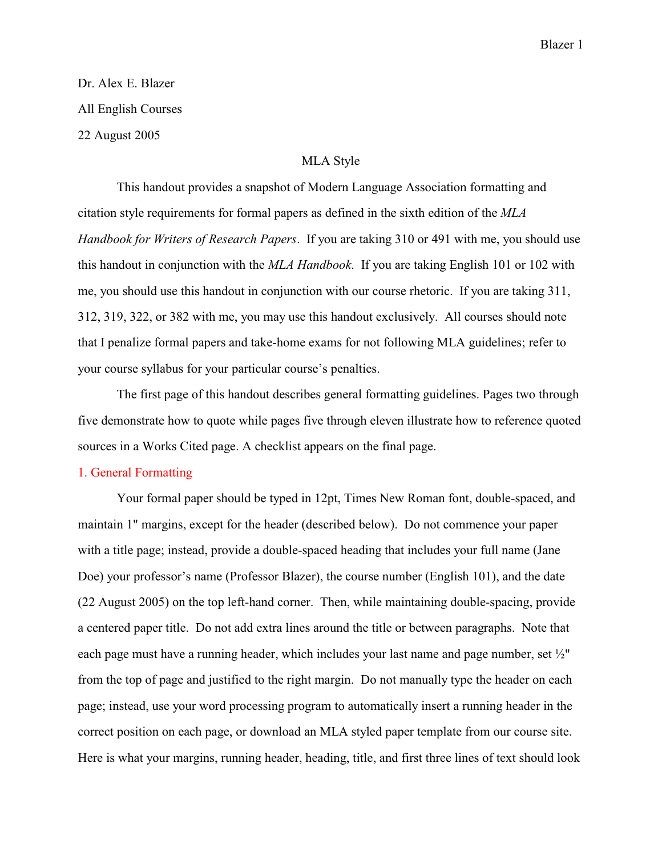# Dr. Alex E. Blazer All English Courses 22 August 2005

#### MLA Style

This handout provides a snapshot of Modern Language Association formatting and citation style requirements for formal papers as defined in the sixth edition of the *MLA Handbook for Writers of Research Papers*. If you are taking 310 or 491 with me, you should use this handout in conjunction with the *MLA Handbook*. If you are taking English 101 or 102 with me, you should use this handout in conjunction with our course rhetoric. If you are taking 311, 312, 319, 322, or 382 with me, you may use this handout exclusively. All courses should note that I penalize formal papers and take-home exams for not following MLA guidelines; refer to your course syllabus for your particular course's penalties.

The first page of this handout describes general formatting guidelines. Pages two through five demonstrate how to quote while pages five through eleven illustrate how to reference quoted sources in a Works Cited page. A checklist appears on the final page.

#### 1. General Formatting

Your formal paper should be typed in 12pt, Times New Roman font, double-spaced, and maintain 1" margins, except for the header (described below). Do not commence your paper with a title page; instead, provide a double-spaced heading that includes your full name (Jane Doe) your professor's name (Professor Blazer), the course number (English 101), and the date (22 August 2005) on the top left-hand corner. Then, while maintaining double-spacing, provide a centered paper title. Do not add extra lines around the title or between paragraphs. Note that each page must have a running header, which includes your last name and page number, set ½" from the top of page and justified to the right margin. Do not manually type the header on each page; instead, use your word processing program to automatically insert a running header in the correct position on each page, or download an MLA styled paper template from our course site. Here is what your margins, running header, heading, title, and first three lines of text should look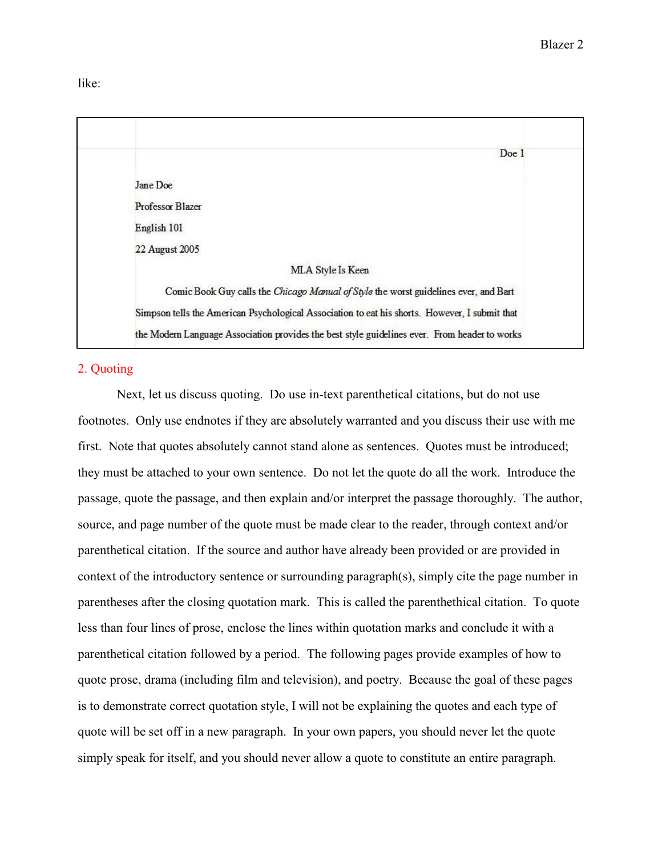like:

|                  | Doe 1                                                                                          |
|------------------|------------------------------------------------------------------------------------------------|
| Jane Doe         |                                                                                                |
| Professor Blazer |                                                                                                |
| English 101      |                                                                                                |
| 22 August 2005   |                                                                                                |
|                  | MLA Style Is Keen                                                                              |
|                  | Comic Book Guy calls the Chicago Manual of Style the worst guidelines ever, and Bart           |
|                  | Simpson tells the American Psychological Association to eat his shorts. However, I submit that |
|                  | the Modern Language Association provides the best style guidelines ever. From header to works  |

# 2. Quoting

Next, let us discuss quoting. Do use in-text parenthetical citations, but do not use footnotes. Only use endnotes if they are absolutely warranted and you discuss their use with me first. Note that quotes absolutely cannot stand alone as sentences. Quotes must be introduced; they must be attached to your own sentence. Do not let the quote do all the work. Introduce the passage, quote the passage, and then explain and/or interpret the passage thoroughly. The author, source, and page number of the quote must be made clear to the reader, through context and/or parenthetical citation. If the source and author have already been provided or are provided in context of the introductory sentence or surrounding paragraph(s), simply cite the page number in parentheses after the closing quotation mark. This is called the parenthethical citation. To quote less than four lines of prose, enclose the lines within quotation marks and conclude it with a parenthetical citation followed by a period. The following pages provide examples of how to quote prose, drama (including film and television), and poetry. Because the goal of these pages is to demonstrate correct quotation style, I will not be explaining the quotes and each type of quote will be set off in a new paragraph. In your own papers, you should never let the quote simply speak for itself, and you should never allow a quote to constitute an entire paragraph.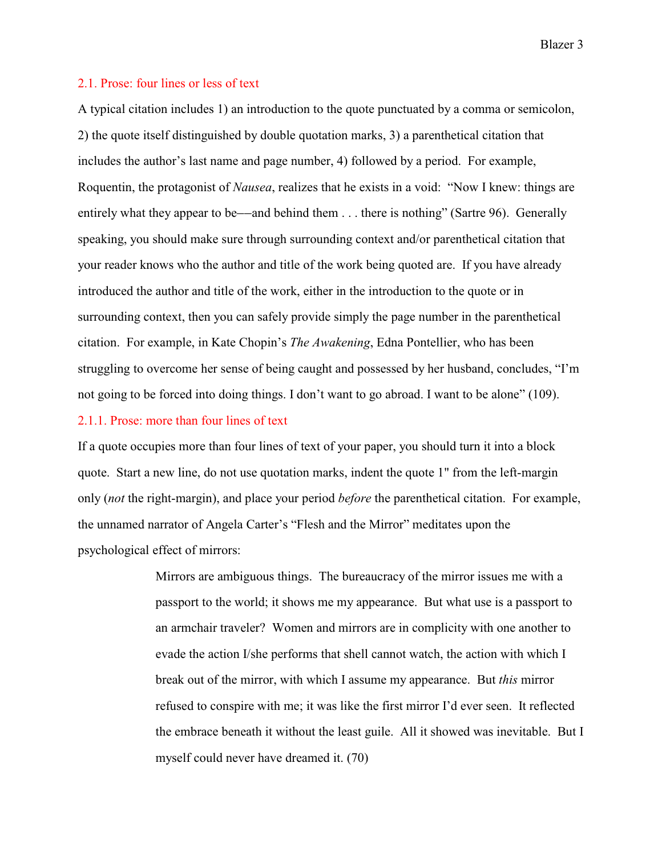Blazer 3

#### 2.1. Prose: four lines or less of text

A typical citation includes 1) an introduction to the quote punctuated by a comma or semicolon, 2) the quote itself distinguished by double quotation marks, 3) a parenthetical citation that includes the author's last name and page number, 4) followed by a period. For example, Roquentin, the protagonist of *Nausea*, realizes that he exists in a void: "Now I knew: things are entirely what they appear to be—and behind them  $\dots$  there is nothing" (Sartre 96). Generally speaking, you should make sure through surrounding context and/or parenthetical citation that your reader knows who the author and title of the work being quoted are. If you have already introduced the author and title of the work, either in the introduction to the quote or in surrounding context, then you can safely provide simply the page number in the parenthetical citation. For example, in Kate Chopin's *The Awakening*, Edna Pontellier, who has been struggling to overcome her sense of being caught and possessed by her husband, concludes, "I'm not going to be forced into doing things. I don't want to go abroad. I want to be alone" (109).

#### 2.1.1. Prose: more than four lines of text

If a quote occupies more than four lines of text of your paper, you should turn it into a block quote. Start a new line, do not use quotation marks, indent the quote 1" from the left-margin only (*not* the right-margin), and place your period *before* the parenthetical citation. For example, the unnamed narrator of Angela Carter's "Flesh and the Mirror" meditates upon the psychological effect of mirrors:

> Mirrors are ambiguous things. The bureaucracy of the mirror issues me with a passport to the world; it shows me my appearance. But what use is a passport to an armchair traveler? Women and mirrors are in complicity with one another to evade the action I/she performs that shell cannot watch, the action with which I break out of the mirror, with which I assume my appearance. But *this* mirror refused to conspire with me; it was like the first mirror I'd ever seen. It reflected the embrace beneath it without the least guile. All it showed was inevitable. But I myself could never have dreamed it. (70)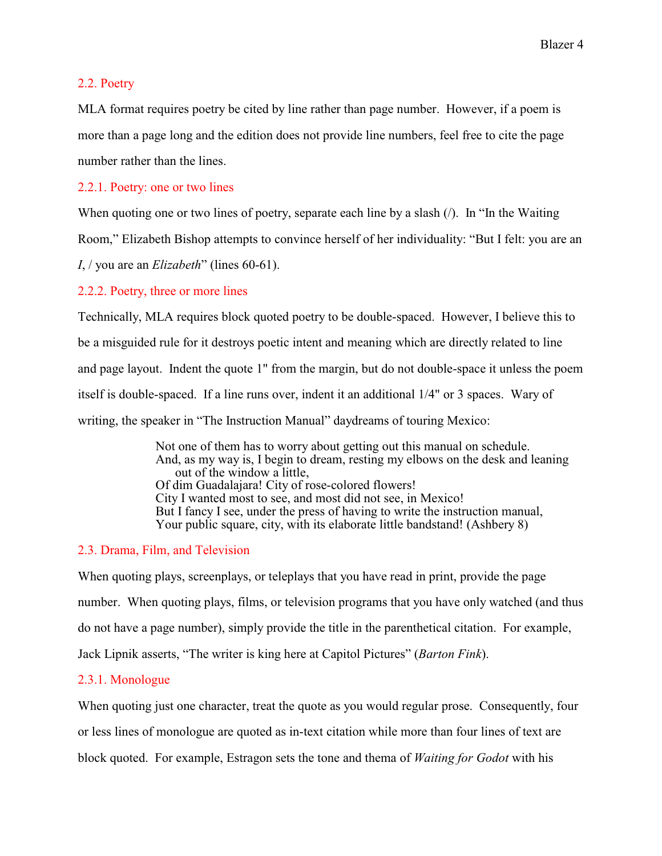#### 2.2. Poetry

MLA format requires poetry be cited by line rather than page number. However, if a poem is more than a page long and the edition does not provide line numbers, feel free to cite the page number rather than the lines.

## 2.2.1. Poetry: one or two lines

When quoting one or two lines of poetry, separate each line by a slash (*/*). In "In the Waiting

Room," Elizabeth Bishop attempts to convince herself of her individuality: "But I felt: you are an

*I*, / you are an *Elizabeth*" (lines 60-61).

## 2.2.2. Poetry, three or more lines

Technically, MLA requires block quoted poetry to be double-spaced. However, I believe this to be a misguided rule for it destroys poetic intent and meaning which are directly related to line and page layout. Indent the quote 1" from the margin, but do not double-space it unless the poem itself is double-spaced. If a line runs over, indent it an additional 1/4" or 3 spaces. Wary of writing, the speaker in "The Instruction Manual" daydreams of touring Mexico:

> Not one of them has to worry about getting out this manual on schedule. And, as my way is, I begin to dream, resting my elbows on the desk and leaning out of the window a little, Of dim Guadalajara! City of rose-colored flowers! City I wanted most to see, and most did not see, in Mexico! But I fancy I see, under the press of having to write the instruction manual, Your public square, city, with its elaborate little bandstand! (Ashbery 8)

## 2.3. Drama, Film, and Television

When quoting plays, screenplays, or teleplays that you have read in print, provide the page number. When quoting plays, films, or television programs that you have only watched (and thus do not have a page number), simply provide the title in the parenthetical citation. For example, Jack Lipnik asserts, "The writer is king here at Capitol Pictures" (*Barton Fink*).

## 2.3.1. Monologue

When quoting just one character, treat the quote as you would regular prose. Consequently, four or less lines of monologue are quoted as in-text citation while more than four lines of text are block quoted. For example, Estragon sets the tone and thema of *Waiting for Godot* with his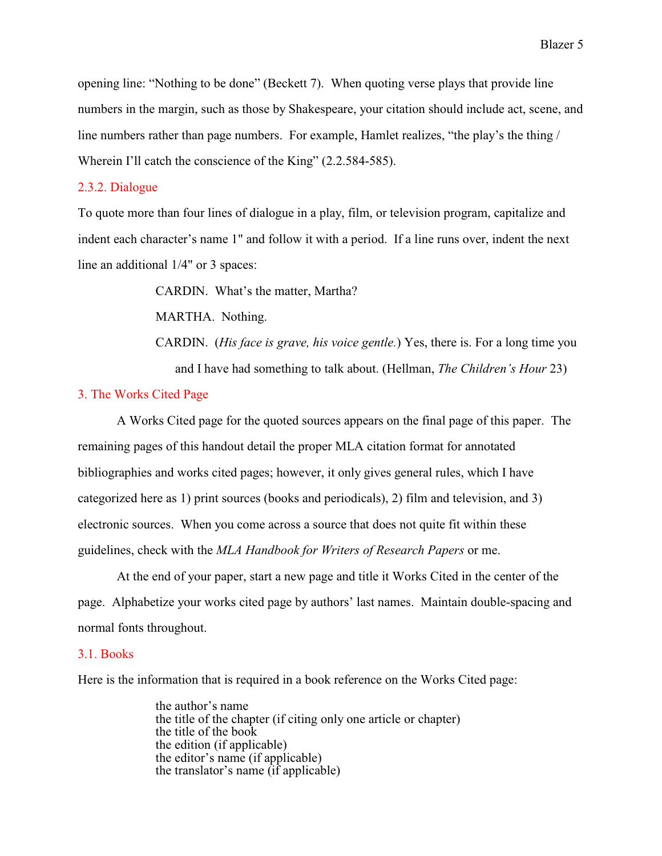opening line: "Nothing to be done" (Beckett 7). When quoting verse plays that provide line numbers in the margin, such as those by Shakespeare, your citation should include act, scene, and line numbers rather than page numbers. For example, Hamlet realizes, "the play's the thing / Wherein I'll catch the conscience of the King" (2.2.584-585).

#### 2.3.2. Dialogue

To quote more than four lines of dialogue in a play, film, or television program, capitalize and indent each character's name 1" and follow it with a period. If a line runs over, indent the next line an additional 1/4" or 3 spaces:

CARDIN. What's the matter, Martha?

MARTHA. Nothing.

CARDIN. (*His face is grave, his voice gentle.*) Yes, there is. For a long time you and I have had something to talk about. (Hellman, *The Children's Hour* 23)

#### 3. The Works Cited Page

A Works Cited page for the quoted sources appears on the final page of this paper. The remaining pages of this handout detail the proper MLA citation format for annotated bibliographies and works cited pages; however, it only gives general rules, which I have categorized here as 1) print sources (books and periodicals), 2) film and television, and 3) electronic sources. When you come across a source that does not quite fit within these guidelines, check with the *MLA Handbook for Writers of Research Papers* or me.

At the end of your paper, start a new page and title it Works Cited in the center of the page. Alphabetize your works cited page by authors' last names. Maintain double-spacing and normal fonts throughout.

#### 3.1. Books

Here is the information that is required in a book reference on the Works Cited page:

the author's name the title of the chapter (if citing only one article or chapter) the title of the book the edition (if applicable) the editor's name (if applicable) the translator's name (if applicable)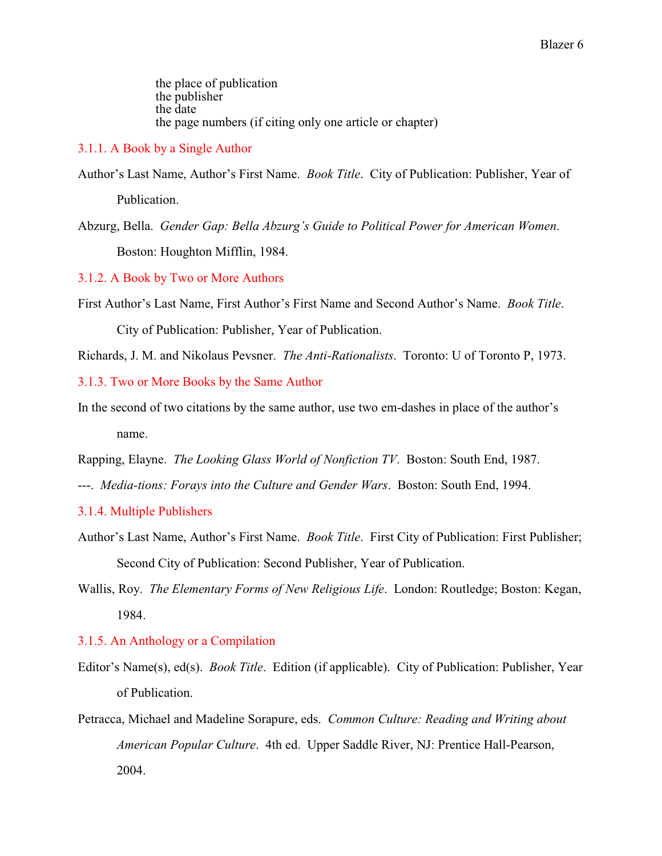the place of publication the publisher the date the page numbers (if citing only one article or chapter)

#### 3.1.1. A Book by a Single Author

Author's Last Name, Author's First Name. *Book Title*. City of Publication: Publisher, Year of Publication.

Abzurg, Bella. *Gender Gap: Bella Abzurg's Guide to Political Power for American Women*. Boston: Houghton Mifflin, 1984.

3.1.2. A Book by Two or More Authors

First Author's Last Name, First Author's First Name and Second Author's Name. *Book Title*. City of Publication: Publisher, Year of Publication.

Richards, J. M. and Nikolaus Pevsner. *The Anti-Rationalists*. Toronto: U of Toronto P, 1973.

3.1.3. Two or More Books by the Same Author

In the second of two citations by the same author, use two em-dashes in place of the author's name.

Rapping, Elayne. *The Looking Glass World of Nonfiction TV*. Boston: South End, 1987.

---. *Media-tions: Forays into the Culture and Gender Wars*. Boston: South End, 1994.

3.1.4. Multiple Publishers

- Author's Last Name, Author's First Name. *Book Title*. First City of Publication: First Publisher; Second City of Publication: Second Publisher, Year of Publication.
- Wallis, Roy. *The Elementary Forms of New Religious Life*. London: Routledge; Boston: Kegan, 1984.

## 3.1.5. An Anthology or a Compilation

- Editor's Name(s), ed(s). *Book Title*. Edition (if applicable). City of Publication: Publisher, Year of Publication.
- Petracca, Michael and Madeline Sorapure, eds. *Common Culture: Reading and Writing about American Popular Culture*. 4th ed. Upper Saddle River, NJ: Prentice Hall-Pearson, 2004.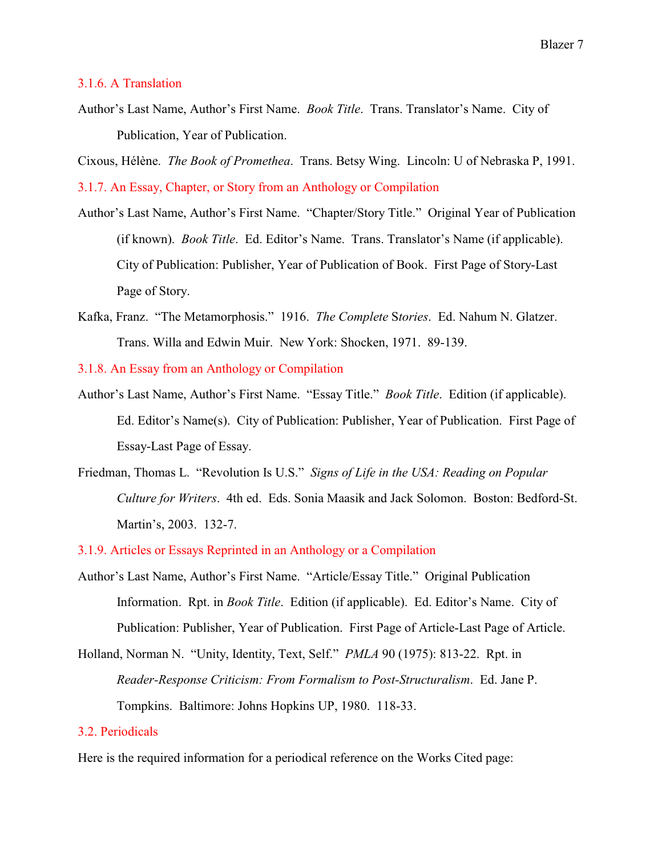#### 3.1.6. A Translation

Author's Last Name, Author's First Name. *Book Title*. Trans. Translator's Name. City of Publication, Year of Publication.

Cixous, Hélène. *The Book of Promethea*. Trans. Betsy Wing. Lincoln: U of Nebraska P, 1991. 3.1.7. An Essay, Chapter, or Story from an Anthology or Compilation

- Author's Last Name, Author's First Name. "Chapter/Story Title." Original Year of Publication (if known). *Book Title*. Ed. Editor's Name. Trans. Translator's Name (if applicable). City of Publication: Publisher, Year of Publication of Book. First Page of Story-Last Page of Story.
- Kafka, Franz. "The Metamorphosis." 1916. *The Complete* S*tories*. Ed. Nahum N. Glatzer. Trans. Willa and Edwin Muir. New York: Shocken, 1971. 89-139.

3.1.8. An Essay from an Anthology or Compilation

- Author's Last Name, Author's First Name. "Essay Title." *Book Title*. Edition (if applicable). Ed. Editor's Name(s). City of Publication: Publisher, Year of Publication. First Page of Essay-Last Page of Essay.
- Friedman, Thomas L. "Revolution Is U.S." *Signs of Life in the USA: Reading on Popular Culture for Writers*. 4th ed. Eds. Sonia Maasik and Jack Solomon. Boston: Bedford-St. Martin's, 2003. 132-7.

3.1.9. Articles or Essays Reprinted in an Anthology or a Compilation

- Author's Last Name, Author's First Name. "Article/Essay Title." Original Publication Information. Rpt. in *Book Title*. Edition (if applicable). Ed. Editor's Name. City of Publication: Publisher, Year of Publication. First Page of Article-Last Page of Article.
- Holland, Norman N. "Unity, Identity, Text, Self." *PMLA* 90 (1975): 813-22. Rpt. in *Reader-Response Criticism: From Formalism to Post-Structuralism*. Ed. Jane P. Tompkins. Baltimore: Johns Hopkins UP, 1980. 118-33.

## 3.2. Periodicals

Here is the required information for a periodical reference on the Works Cited page: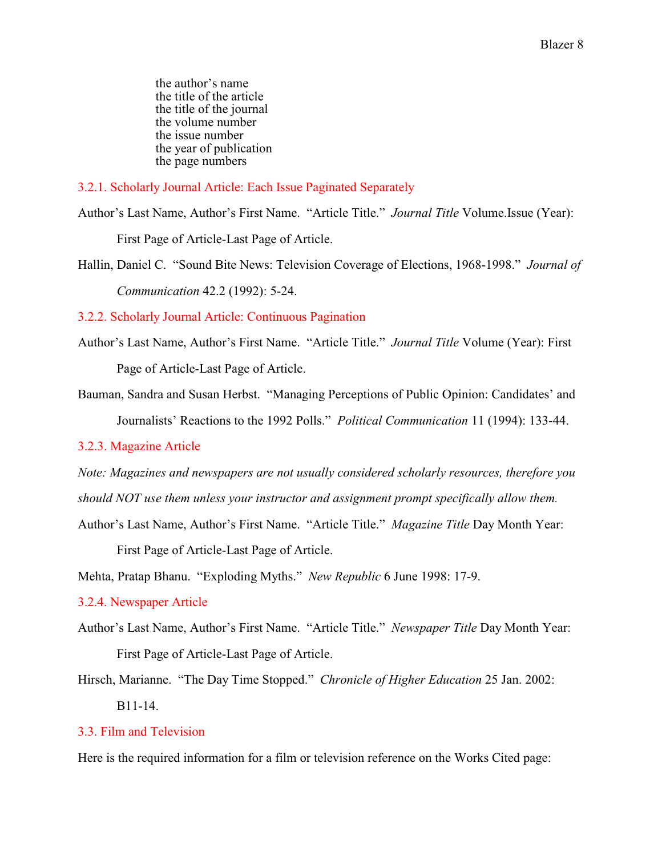the author's name the title of the article the title of the journal the volume number the issue number the year of publication the page numbers

3.2.1. Scholarly Journal Article: Each Issue Paginated Separately

Author's Last Name, Author's First Name. "Article Title." *Journal Title* Volume.Issue (Year): First Page of Article-Last Page of Article.

Hallin, Daniel C. "Sound Bite News: Television Coverage of Elections, 1968-1998." *Journal of Communication* 42.2 (1992): 5-24.

3.2.2. Scholarly Journal Article: Continuous Pagination

- Author's Last Name, Author's First Name. "Article Title." *Journal Title* Volume (Year): First Page of Article-Last Page of Article.
- Bauman, Sandra and Susan Herbst. "Managing Perceptions of Public Opinion: Candidates' and Journalists' Reactions to the 1992 Polls." *Political Communication* 11 (1994): 133-44.

# 3.2.3. Magazine Article

*Note: Magazines and newspapers are not usually considered scholarly resources, therefore you should NOT use them unless your instructor and assignment prompt specifically allow them.*

Author's Last Name, Author's First Name. "Article Title." *Magazine Title* Day Month Year:

First Page of Article-Last Page of Article.

Mehta, Pratap Bhanu. "Exploding Myths." *New Republic* 6 June 1998: 17-9.

## 3.2.4. Newspaper Article

- Author's Last Name, Author's First Name. "Article Title." *Newspaper Title* Day Month Year: First Page of Article-Last Page of Article.
- Hirsch, Marianne. "The Day Time Stopped." *Chronicle of Higher Education* 25 Jan. 2002: B11-14.

# 3.3. Film and Television

Here is the required information for a film or television reference on the Works Cited page: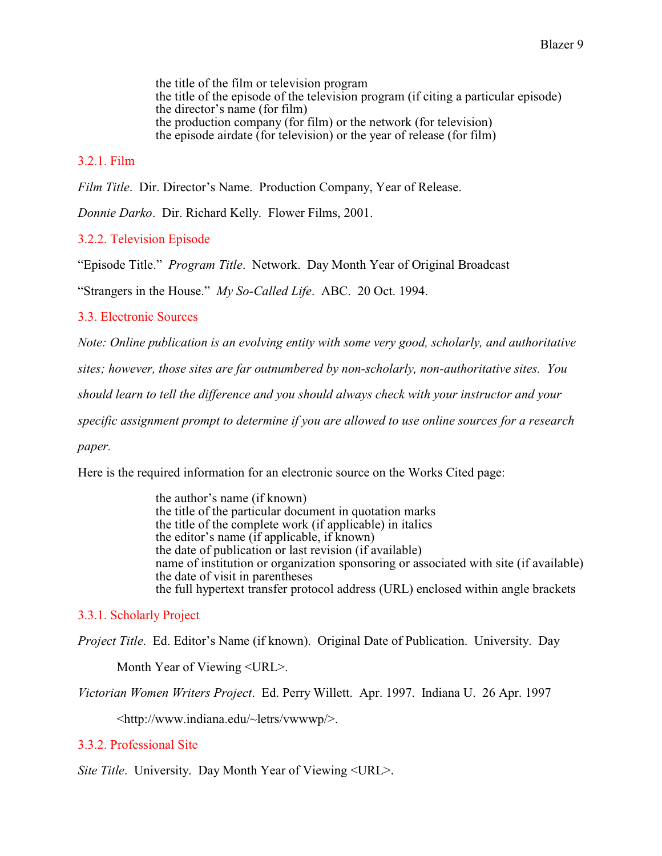the title of the film or television program the title of the episode of the television program (if citing a particular episode) the director's name (for film) the production company (for film) or the network (for television) the episode airdate (for television) or the year of release (for film)

# 3.2.1. Film

*Film Title*. Dir. Director's Name. Production Company, Year of Release.

*Donnie Darko*. Dir. Richard Kelly. Flower Films, 2001.

3.2.2. Television Episode

"Episode Title." *Program Title*. Network. Day Month Year of Original Broadcast

"Strangers in the House." *My So-Called Life*. ABC. 20 Oct. 1994.

#### 3.3. Electronic Sources

*Note: Online publication is an evolving entity with some very good, scholarly, and authoritative*

*sites; however, those sites are far outnumbered by non-scholarly, non-authoritative sites. You*

*should learn to tell the difference and you should always check with your instructor and your*

*specific assignment prompt to determine if you are allowed to use online sources for a research*

*paper.*

Here is the required information for an electronic source on the Works Cited page:

the author's name (if known) the title of the particular document in quotation marks the title of the complete work (if applicable) in italics the editor's name (if applicable, if known) the date of publication or last revision (if available) name of institution or organization sponsoring or associated with site (if available) the date of visit in parentheses the full hypertext transfer protocol address (URL) enclosed within angle brackets

## 3.3.1. Scholarly Project

*Project Title*. Ed. Editor's Name (if known). Original Date of Publication. University. Day

Month Year of Viewing <URL>.

*Victorian Women Writers Project*. Ed. Perry Willett. Apr. 1997. Indiana U. 26 Apr. 1997

<http://www.indiana.edu/~letrs/vwwwp/>.

## 3.3.2. Professional Site

*Site Title*. University. Day Month Year of Viewing <URL>.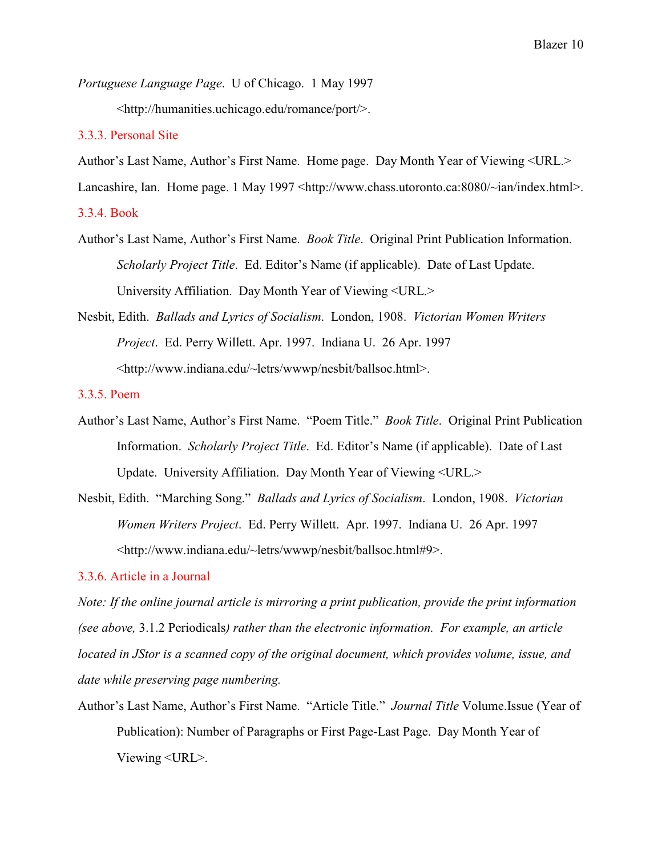*Portuguese Language Page*. U of Chicago. 1 May 1997

<http://humanities.uchicago.edu/romance/port/>.

#### 3.3.3. Personal Site

Author's Last Name, Author's First Name. Home page. Day Month Year of Viewing <URL.>

Lancashire, Ian. Home page. 1 May 1997 <http://www.chass.utoronto.ca:8080/~ian/index.html>.

3.3.4. Book

- Author's Last Name, Author's First Name. *Book Title*. Original Print Publication Information. *Scholarly Project Title*. Ed. Editor's Name (if applicable). Date of Last Update. University Affiliation. Day Month Year of Viewing <URL.>
- Nesbit, Edith. *Ballads and Lyrics of Socialism*. London, 1908. *Victorian Women Writers Project*. Ed. Perry Willett. Apr. 1997. Indiana U. 26 Apr. 1997 <http://www.indiana.edu/~letrs/wwwp/nesbit/ballsoc.html>.

#### 3.3.5. Poem

- Author's Last Name, Author's First Name. "Poem Title." *Book Title*. Original Print Publication Information. *Scholarly Project Title*. Ed. Editor's Name (if applicable). Date of Last Update. University Affiliation. Day Month Year of Viewing <URL.>
- Nesbit, Edith. "Marching Song." *Ballads and Lyrics of Socialism*. London, 1908. *Victorian Women Writers Project*. Ed. Perry Willett. Apr. 1997. Indiana U. 26 Apr. 1997 <http://www.indiana.edu/~letrs/wwwp/nesbit/ballsoc.html#9>.

#### 3.3.6. Article in a Journal

*Note: If the online journal article is mirroring a print publication, provide the print information (see above,* 3.1.2 Periodicals*) rather than the electronic information. For example, an article located in JStor is a scanned copy of the original document, which provides volume, issue, and date while preserving page numbering.*

Author's Last Name, Author's First Name. "Article Title." *Journal Title* Volume.Issue (Year of Publication): Number of Paragraphs or First Page-Last Page. Day Month Year of Viewing <URL>.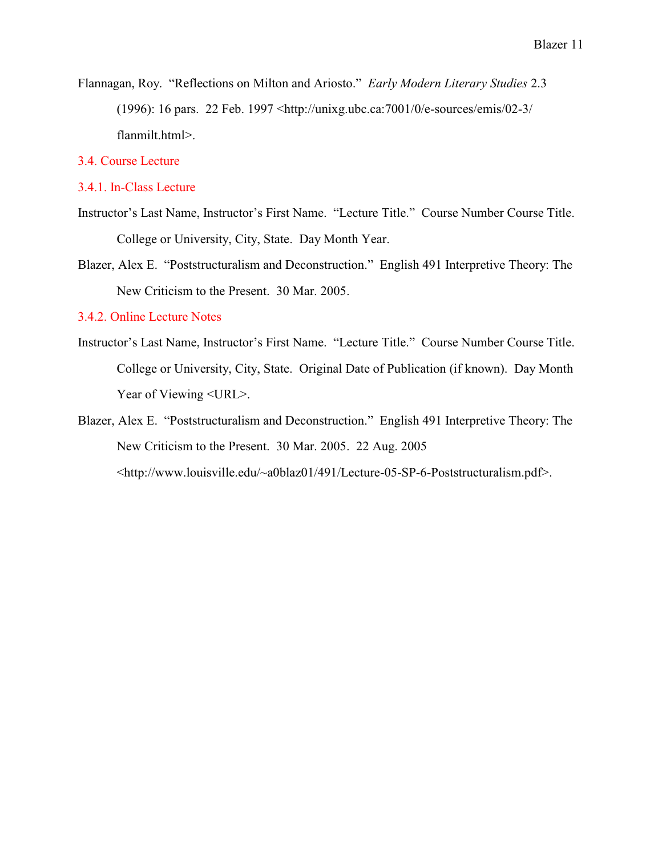Flannagan, Roy. "Reflections on Milton and Ariosto." *Early Modern Literary Studies* 2.3 (1996): 16 pars. 22 Feb. 1997 <http://unixg.ubc.ca:7001/0/e-sources/emis/02-3/ flanmilt.html>.

## 3.4. Course Lecture

#### 3.4.1. In-Class Lecture

- Instructor's Last Name, Instructor's First Name. "Lecture Title." Course Number Course Title. College or University, City, State. Day Month Year.
- Blazer, Alex E. "Poststructuralism and Deconstruction." English 491 Interpretive Theory: The New Criticism to the Present. 30 Mar. 2005.

#### 3.4.2. Online Lecture Notes

- Instructor's Last Name, Instructor's First Name. "Lecture Title." Course Number Course Title. College or University, City, State. Original Date of Publication (if known). Day Month Year of Viewing <URL>.
- Blazer, Alex E. "Poststructuralism and Deconstruction." English 491 Interpretive Theory: The New Criticism to the Present. 30 Mar. 2005. 22 Aug. 2005 <http://www.louisville.edu/~a0blaz01/491/Lecture-05-SP-6-Poststructuralism.pdf>.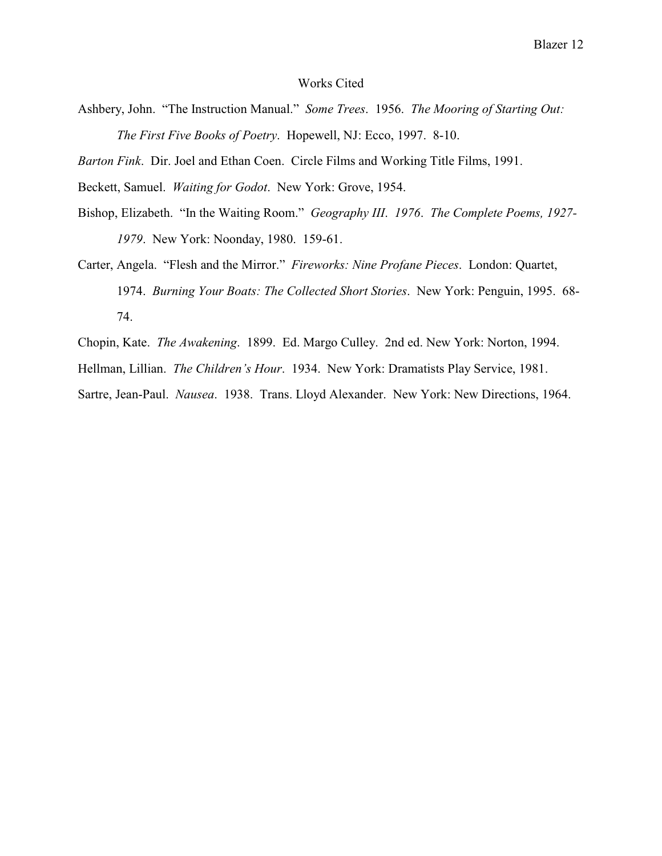#### Works Cited

Ashbery, John. "The Instruction Manual." *Some Trees*. 1956. *The Mooring of Starting Out: The First Five Books of Poetry*. Hopewell, NJ: Ecco, 1997. 8-10.

*Barton Fink*. Dir. Joel and Ethan Coen. Circle Films and Working Title Films, 1991.

Beckett, Samuel. *Waiting for Godot*. New York: Grove, 1954.

- Bishop, Elizabeth. "In the Waiting Room." *Geography III*. *1976*. *The Complete Poems, 1927- 1979*. New York: Noonday, 1980. 159-61.
- Carter, Angela. "Flesh and the Mirror." *Fireworks: Nine Profane Pieces*. London: Quartet, 1974. *Burning Your Boats: The Collected Short Stories*. New York: Penguin, 1995. 68- 74.

Chopin, Kate. *The Awakening*. 1899. Ed. Margo Culley. 2nd ed. New York: Norton, 1994.

Hellman, Lillian. *The Children's Hour*. 1934. New York: Dramatists Play Service, 1981.

Sartre, Jean-Paul. *Nausea*. 1938. Trans. Lloyd Alexander. New York: New Directions, 1964.